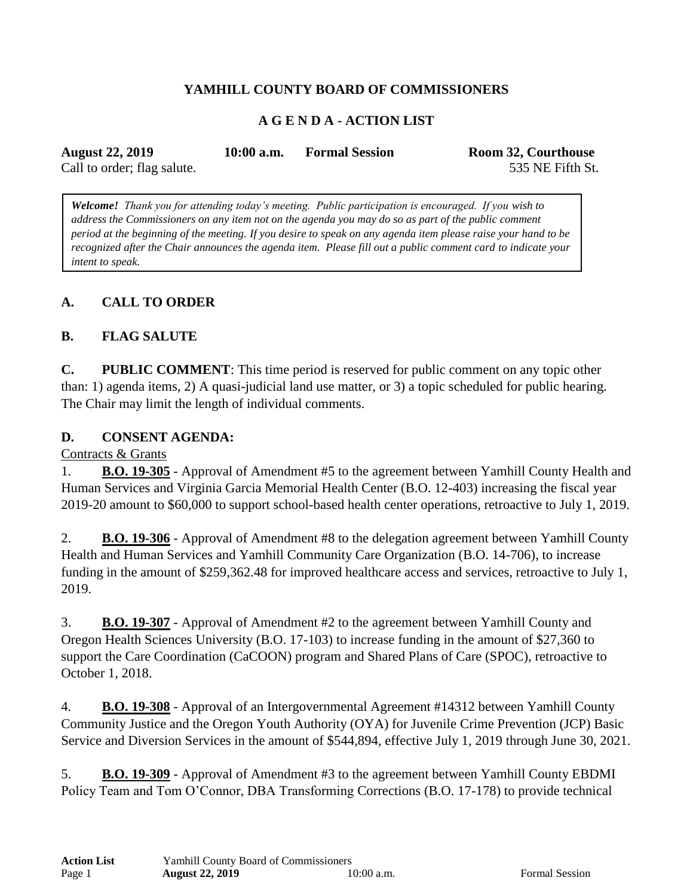# **YAMHILL COUNTY BOARD OF COMMISSIONERS**

## **A G E N D A - ACTION LIST**

| <b>August 22, 2019</b>      | $10:00$ a.m. | <b>Formal Session</b> | Room 32, Courthouse |
|-----------------------------|--------------|-----------------------|---------------------|
| Call to order; flag salute. |              |                       | 535 NE Fifth St.    |

*Welcome! Thank you for attending today's meeting. Public participation is encouraged. If you wish to address the Commissioners on any item not on the agenda you may do so as part of the public comment period at the beginning of the meeting. If you desire to speak on any agenda item please raise your hand to be recognized after the Chair announces the agenda item. Please fill out a public comment card to indicate your intent to speak.*

## **A. CALL TO ORDER**

### **B. FLAG SALUTE**

**C. PUBLIC COMMENT**: This time period is reserved for public comment on any topic other than: 1) agenda items, 2) A quasi-judicial land use matter, or 3) a topic scheduled for public hearing. The Chair may limit the length of individual comments.

#### **D. CONSENT AGENDA:**

#### Contracts & Grants

1. **B.O. 19-305** - Approval of Amendment #5 to the agreement between Yamhill County Health and Human Services and Virginia Garcia Memorial Health Center (B.O. 12-403) increasing the fiscal year 2019-20 amount to \$60,000 to support school-based health center operations, retroactive to July 1, 2019.

2. **B.O. 19-306** - Approval of Amendment #8 to the delegation agreement between Yamhill County Health and Human Services and Yamhill Community Care Organization (B.O. 14-706), to increase funding in the amount of \$259,362.48 for improved healthcare access and services, retroactive to July 1, 2019.

3. **B.O. 19-307** - Approval of Amendment #2 to the agreement between Yamhill County and Oregon Health Sciences University (B.O. 17-103) to increase funding in the amount of \$27,360 to support the Care Coordination (CaCOON) program and Shared Plans of Care (SPOC), retroactive to October 1, 2018.

4. **B.O. 19-308** - Approval of an Intergovernmental Agreement #14312 between Yamhill County Community Justice and the Oregon Youth Authority (OYA) for Juvenile Crime Prevention (JCP) Basic Service and Diversion Services in the amount of \$544,894, effective July 1, 2019 through June 30, 2021.

5. **B.O. 19-309** - Approval of Amendment #3 to the agreement between Yamhill County EBDMI Policy Team and Tom O'Connor, DBA Transforming Corrections (B.O. 17-178) to provide technical